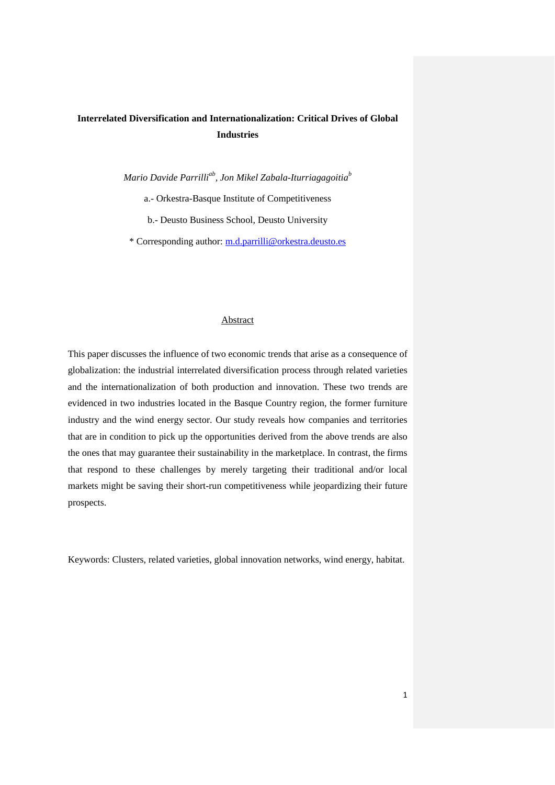# **Interrelated Diversification and Internationalization: Critical Drives of Global Industries**

*Mario Davide Parrilliab , Jon Mikel Zabala-Iturriagagoitia<sup>b</sup>* a.- Orkestra-Basque Institute of Competitiveness b.- Deusto Business School, Deusto University \* Corresponding author: [m.d.parrilli@orkestra.deusto.es](mailto:m.d.parrilli@orkestra.deusto.es)

### Abstract

This paper discusses the influence of two economic trends that arise as a consequence of globalization: the industrial interrelated diversification process through related varieties and the internationalization of both production and innovation. These two trends are evidenced in two industries located in the Basque Country region, the former furniture industry and the wind energy sector. Our study reveals how companies and territories that are in condition to pick up the opportunities derived from the above trends are also the ones that may guarantee their sustainability in the marketplace. In contrast, the firms that respond to these challenges by merely targeting their traditional and/or local markets might be saving their short-run competitiveness while jeopardizing their future prospects.

Keywords: Clusters, related varieties, global innovation networks, wind energy, habitat.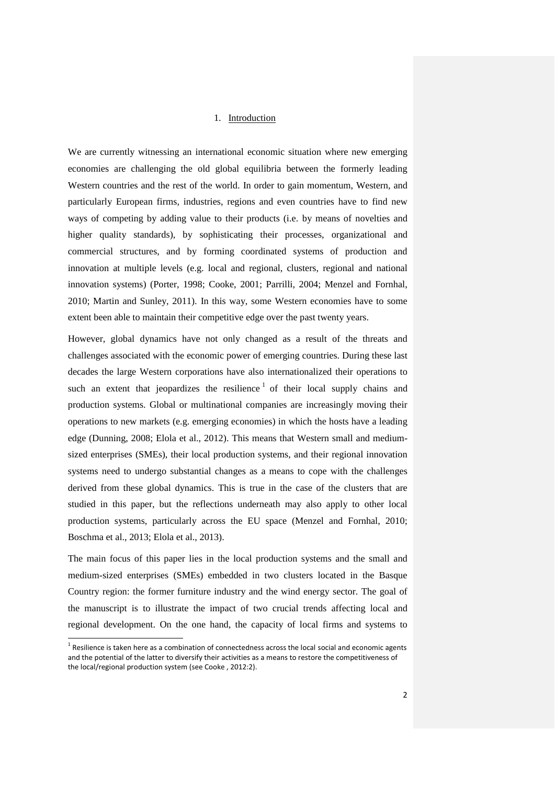### 1. Introduction

We are currently witnessing an international economic situation where new emerging economies are challenging the old global equilibria between the formerly leading Western countries and the rest of the world. In order to gain momentum, Western, and particularly European firms, industries, regions and even countries have to find new ways of competing by adding value to their products (i.e. by means of novelties and higher quality standards), by sophisticating their processes, organizational and commercial structures, and by forming coordinated systems of production and innovation at multiple levels (e.g. local and regional, clusters, regional and national innovation systems) (Porter, 1998; Cooke, 2001; Parrilli, 2004; Menzel and Fornhal, 2010; Martin and Sunley, 2011). In this way, some Western economies have to some extent been able to maintain their competitive edge over the past twenty years.

However, global dynamics have not only changed as a result of the threats and challenges associated with the economic power of emerging countries. During these last decades the large Western corporations have also internationalized their operations to such an extent that jeopardizes the resilience  $1$  of their local supply chains and production systems. Global or multinational companies are increasingly moving their operations to new markets (e.g. emerging economies) in which the hosts have a leading edge (Dunning, 2008; Elola et al., 2012). This means that Western small and mediumsized enterprises (SMEs), their local production systems, and their regional innovation systems need to undergo substantial changes as a means to cope with the challenges derived from these global dynamics. This is true in the case of the clusters that are studied in this paper, but the reflections underneath may also apply to other local production systems, particularly across the EU space (Menzel and Fornhal, 2010; Boschma et al., 2013; Elola et al., 2013).

The main focus of this paper lies in the local production systems and the small and medium-sized enterprises (SMEs) embedded in two clusters located in the Basque Country region: the former furniture industry and the wind energy sector. The goal of the manuscript is to illustrate the impact of two crucial trends affecting local and regional development. On the one hand, the capacity of local firms and systems to

 $\overline{a}$ 

 $^{\text{1}}$  Resilience is taken here as a combination of connectedness across the local social and economic agents and the potential of the latter to diversify their activities as a means to restore the competitiveness of the local/regional production system (see Cooke , 2012:2).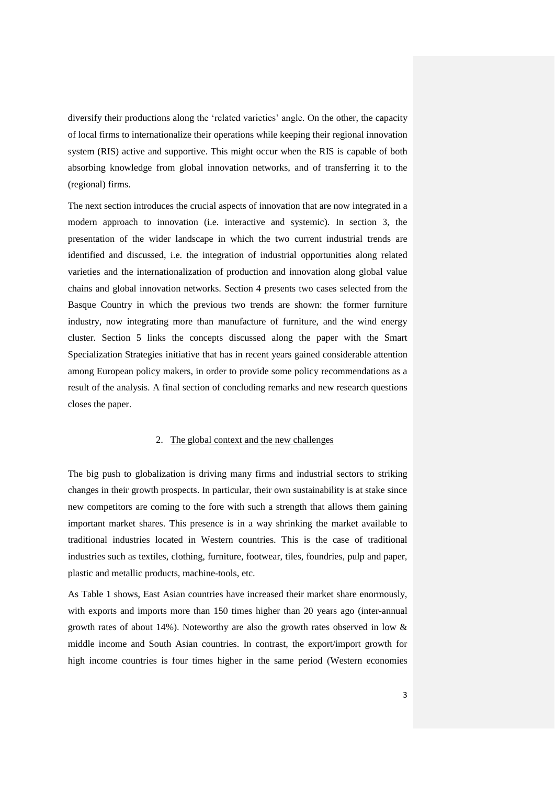diversify their productions along the 'related varieties' angle. On the other, the capacity of local firms to internationalize their operations while keeping their regional innovation system (RIS) active and supportive. This might occur when the RIS is capable of both absorbing knowledge from global innovation networks, and of transferring it to the (regional) firms.

The next section introduces the crucial aspects of innovation that are now integrated in a modern approach to innovation (i.e. interactive and systemic). In section 3, the presentation of the wider landscape in which the two current industrial trends are identified and discussed, i.e. the integration of industrial opportunities along related varieties and the internationalization of production and innovation along global value chains and global innovation networks. Section 4 presents two cases selected from the Basque Country in which the previous two trends are shown: the former furniture industry, now integrating more than manufacture of furniture, and the wind energy cluster. Section 5 links the concepts discussed along the paper with the Smart Specialization Strategies initiative that has in recent years gained considerable attention among European policy makers, in order to provide some policy recommendations as a result of the analysis. A final section of concluding remarks and new research questions closes the paper.

### 2. The global context and the new challenges

The big push to globalization is driving many firms and industrial sectors to striking changes in their growth prospects. In particular, their own sustainability is at stake since new competitors are coming to the fore with such a strength that allows them gaining important market shares. This presence is in a way shrinking the market available to traditional industries located in Western countries. This is the case of traditional industries such as textiles, clothing, furniture, footwear, tiles, foundries, pulp and paper, plastic and metallic products, machine-tools, etc.

As Table 1 shows, East Asian countries have increased their market share enormously, with exports and imports more than 150 times higher than 20 years ago (inter-annual growth rates of about 14%). Noteworthy are also the growth rates observed in low & middle income and South Asian countries. In contrast, the export/import growth for high income countries is four times higher in the same period (Western economies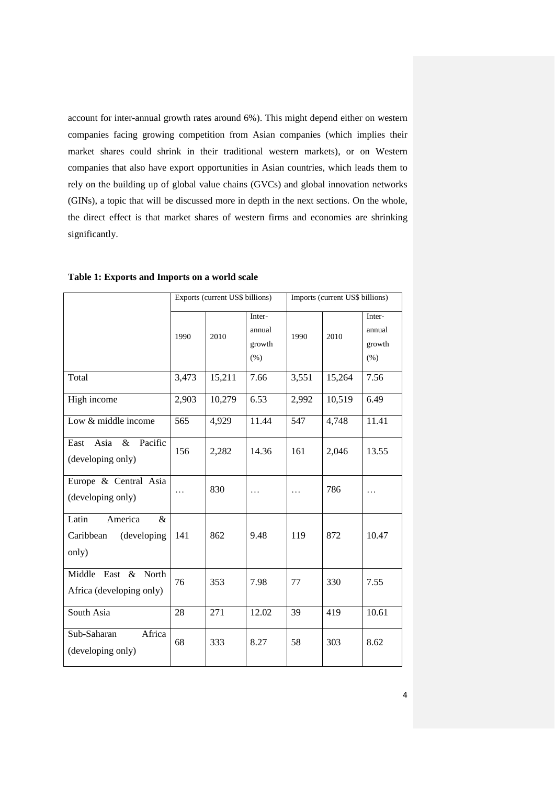account for inter-annual growth rates around 6%). This might depend either on western companies facing growing competition from Asian companies (which implies their market shares could shrink in their traditional western markets), or on Western companies that also have export opportunities in Asian countries, which leads them to rely on the building up of global value chains (GVCs) and global innovation networks (GINs), a topic that will be discussed more in depth in the next sections. On the whole, the direct effect is that market shares of western firms and economies are shrinking significantly.

|                                                            | Exports (current US\$ billions) |        |                                       | Imports (current US\$ billions) |        |                                    |
|------------------------------------------------------------|---------------------------------|--------|---------------------------------------|---------------------------------|--------|------------------------------------|
|                                                            | 1990                            | 2010   | Inter-<br>annual<br>growth<br>$(\% )$ | 1990                            | 2010   | Inter-<br>annual<br>growth<br>(% ) |
| Total                                                      | 3,473                           | 15,211 | 7.66                                  | 3,551                           | 15,264 | 7.56                               |
| High income                                                | 2,903                           | 10,279 | 6.53                                  | 2,992                           | 10,519 | 6.49                               |
| Low & middle income                                        | 565                             | 4,929  | 11.44                                 | 547                             | 4,748  | 11.41                              |
| Pacific<br>Asia<br>$\&$<br>East<br>(developing only)       | 156                             | 2,282  | 14.36                                 | 161                             | 2,046  | 13.55                              |
| Europe & Central Asia<br>(developing only)                 | .                               | 830    | .                                     | $\cdot$ $\cdot$                 | 786    | .                                  |
| Latin<br>America<br>&<br>Caribbean<br>(developing<br>only) | 141                             | 862    | 9.48                                  | 119                             | 872    | 10.47                              |
| Middle East & North<br>Africa (developing only)            | 76                              | 353    | 7.98                                  | 77                              | 330    | 7.55                               |
| South Asia                                                 | 28                              | 271    | 12.02                                 | 39                              | 419    | 10.61                              |
| Sub-Saharan<br>Africa<br>(developing only)                 | 68                              | 333    | 8.27                                  | 58                              | 303    | 8.62                               |

**Table 1: Exports and Imports on a world scale**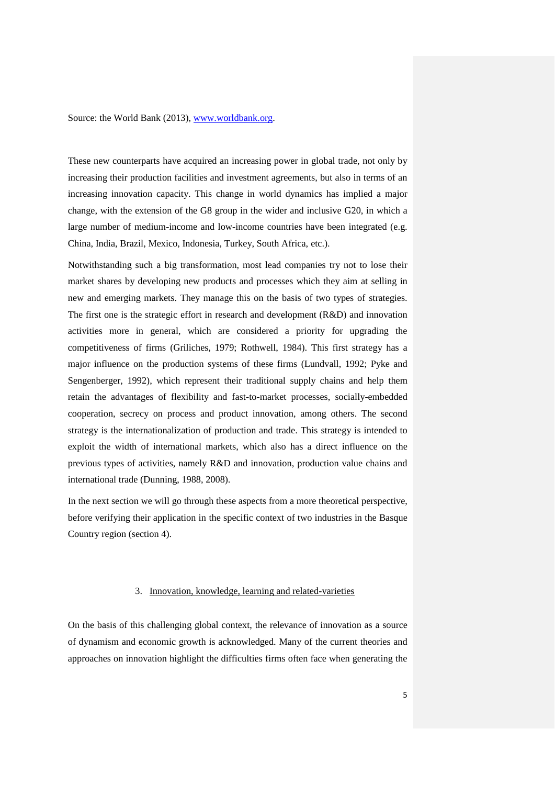Source: the World Bank (2013), [www.worldbank.org.](http://www.worldbank.org/)

These new counterparts have acquired an increasing power in global trade, not only by increasing their production facilities and investment agreements, but also in terms of an increasing innovation capacity. This change in world dynamics has implied a major change, with the extension of the G8 group in the wider and inclusive G20, in which a large number of medium-income and low-income countries have been integrated (e.g. China, India, Brazil, Mexico, Indonesia, Turkey, South Africa, etc.).

Notwithstanding such a big transformation, most lead companies try not to lose their market shares by developing new products and processes which they aim at selling in new and emerging markets. They manage this on the basis of two types of strategies. The first one is the strategic effort in research and development (R&D) and innovation activities more in general, which are considered a priority for upgrading the competitiveness of firms (Griliches, 1979; Rothwell, 1984). This first strategy has a major influence on the production systems of these firms (Lundvall, 1992; Pyke and Sengenberger, 1992), which represent their traditional supply chains and help them retain the advantages of flexibility and fast-to-market processes, socially-embedded cooperation, secrecy on process and product innovation, among others. The second strategy is the internationalization of production and trade. This strategy is intended to exploit the width of international markets, which also has a direct influence on the previous types of activities, namely R&D and innovation, production value chains and international trade (Dunning, 1988, 2008).

In the next section we will go through these aspects from a more theoretical perspective, before verifying their application in the specific context of two industries in the Basque Country region (section 4).

### 3. Innovation, knowledge, learning and related-varieties

On the basis of this challenging global context, the relevance of innovation as a source of dynamism and economic growth is acknowledged. Many of the current theories and approaches on innovation highlight the difficulties firms often face when generating the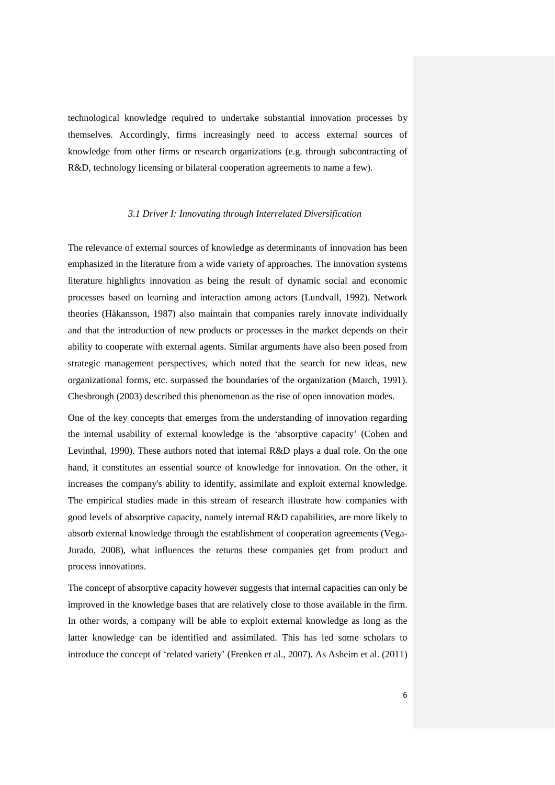technological knowledge required to undertake substantial innovation processes by themselves. Accordingly, firms increasingly need to access external sources of knowledge from other firms or research organizations (e.g. through subcontracting of R&D, technology licensing or bilateral cooperation agreements to name a few).

#### *3.1 Driver I: Innovating through Interrelated Diversification*

The relevance of external sources of knowledge as determinants of innovation has been emphasized in the literature from a wide variety of approaches. The innovation systems literature highlights innovation as being the result of dynamic social and economic processes based on learning and interaction among actors (Lundvall, 1992). Network theories (Håkansson, 1987) also maintain that companies rarely innovate individually and that the introduction of new products or processes in the market depends on their ability to cooperate with external agents. Similar arguments have also been posed from strategic management perspectives, which noted that the search for new ideas, new organizational forms, etc. surpassed the boundaries of the organization (March, 1991). Chesbrough (2003) described this phenomenon as the rise of open innovation modes.

One of the key concepts that emerges from the understanding of innovation regarding the internal usability of external knowledge is the 'absorptive capacity' (Cohen and Levinthal, 1990). These authors noted that internal R&D plays a dual role. On the one hand, it constitutes an essential source of knowledge for innovation. On the other, it increases the company's ability to identify, assimilate and exploit external knowledge. The empirical studies made in this stream of research illustrate how companies with good levels of absorptive capacity, namely internal R&D capabilities, are more likely to absorb external knowledge through the establishment of cooperation agreements (Vega-Jurado, 2008), what influences the returns these companies get from product and process innovations.

The concept of absorptive capacity however suggests that internal capacities can only be improved in the knowledge bases that are relatively close to those available in the firm. In other words, a company will be able to exploit external knowledge as long as the latter knowledge can be identified and assimilated. This has led some scholars to introduce the concept of 'related variety' (Frenken et al., 2007). As Asheim et al. (2011)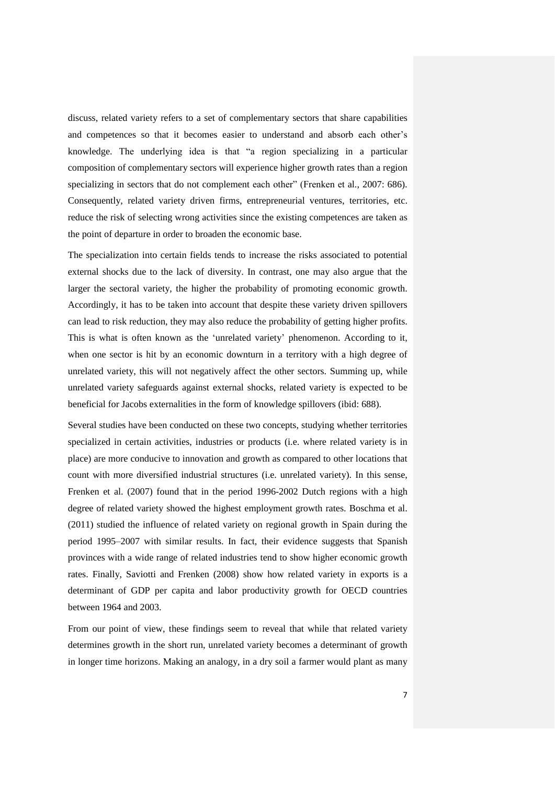discuss, related variety refers to a set of complementary sectors that share capabilities and competences so that it becomes easier to understand and absorb each other's knowledge. The underlying idea is that "a region specializing in a particular composition of complementary sectors will experience higher growth rates than a region specializing in sectors that do not complement each other" (Frenken et al., 2007: 686). Consequently, related variety driven firms, entrepreneurial ventures, territories, etc. reduce the risk of selecting wrong activities since the existing competences are taken as the point of departure in order to broaden the economic base.

The specialization into certain fields tends to increase the risks associated to potential external shocks due to the lack of diversity. In contrast, one may also argue that the larger the sectoral variety, the higher the probability of promoting economic growth. Accordingly, it has to be taken into account that despite these variety driven spillovers can lead to risk reduction, they may also reduce the probability of getting higher profits. This is what is often known as the 'unrelated variety' phenomenon. According to it, when one sector is hit by an economic downturn in a territory with a high degree of unrelated variety, this will not negatively affect the other sectors. Summing up, while unrelated variety safeguards against external shocks, related variety is expected to be beneficial for Jacobs externalities in the form of knowledge spillovers (ibid: 688).

Several studies have been conducted on these two concepts, studying whether territories specialized in certain activities, industries or products (i.e. where related variety is in place) are more conducive to innovation and growth as compared to other locations that count with more diversified industrial structures (i.e. unrelated variety). In this sense, Frenken et al. (2007) found that in the period 1996-2002 Dutch regions with a high degree of related variety showed the highest employment growth rates. Boschma et al. (2011) studied the influence of related variety on regional growth in Spain during the period 1995–2007 with similar results. In fact, their evidence suggests that Spanish provinces with a wide range of related industries tend to show higher economic growth rates. Finally, Saviotti and Frenken (2008) show how related variety in exports is a determinant of GDP per capita and labor productivity growth for OECD countries between 1964 and 2003.

From our point of view, these findings seem to reveal that while that related variety determines growth in the short run, unrelated variety becomes a determinant of growth in longer time horizons. Making an analogy, in a dry soil a farmer would plant as many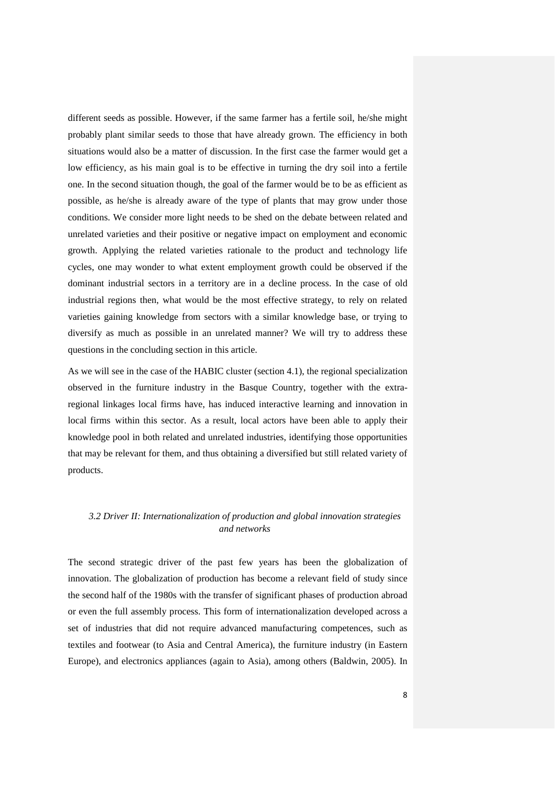different seeds as possible. However, if the same farmer has a fertile soil, he/she might probably plant similar seeds to those that have already grown. The efficiency in both situations would also be a matter of discussion. In the first case the farmer would get a low efficiency, as his main goal is to be effective in turning the dry soil into a fertile one. In the second situation though, the goal of the farmer would be to be as efficient as possible, as he/she is already aware of the type of plants that may grow under those conditions. We consider more light needs to be shed on the debate between related and unrelated varieties and their positive or negative impact on employment and economic growth. Applying the related varieties rationale to the product and technology life cycles, one may wonder to what extent employment growth could be observed if the dominant industrial sectors in a territory are in a decline process. In the case of old industrial regions then, what would be the most effective strategy, to rely on related varieties gaining knowledge from sectors with a similar knowledge base, or trying to diversify as much as possible in an unrelated manner? We will try to address these questions in the concluding section in this article.

As we will see in the case of the HABIC cluster (section 4.1), the regional specialization observed in the furniture industry in the Basque Country, together with the extraregional linkages local firms have, has induced interactive learning and innovation in local firms within this sector. As a result, local actors have been able to apply their knowledge pool in both related and unrelated industries, identifying those opportunities that may be relevant for them, and thus obtaining a diversified but still related variety of products.

# *3.2 Driver II: Internationalization of production and global innovation strategies and networks*

The second strategic driver of the past few years has been the globalization of innovation. The globalization of production has become a relevant field of study since the second half of the 1980s with the transfer of significant phases of production abroad or even the full assembly process. This form of internationalization developed across a set of industries that did not require advanced manufacturing competences, such as textiles and footwear (to Asia and Central America), the furniture industry (in Eastern Europe), and electronics appliances (again to Asia), among others (Baldwin, 2005). In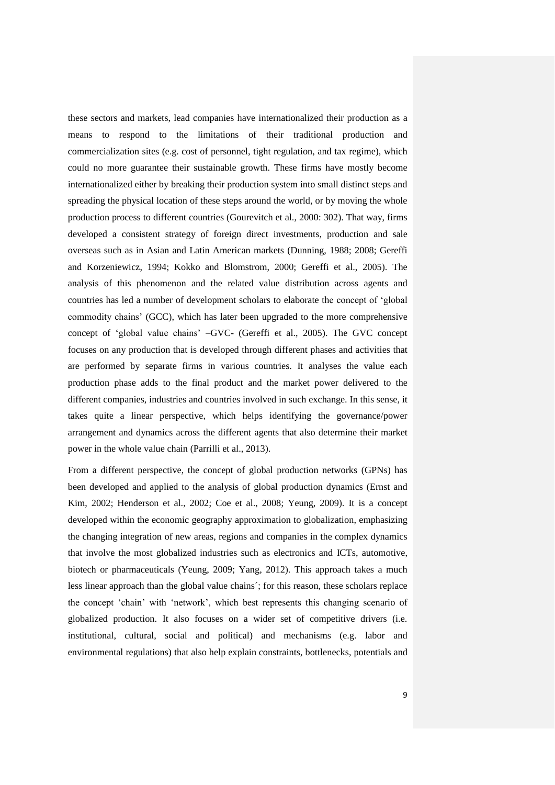these sectors and markets, lead companies have internationalized their production as a means to respond to the limitations of their traditional production and commercialization sites (e.g. cost of personnel, tight regulation, and tax regime), which could no more guarantee their sustainable growth. These firms have mostly become internationalized either by breaking their production system into small distinct steps and spreading the physical location of these steps around the world, or by moving the whole production process to different countries (Gourevitch et al., 2000: 302). That way, firms developed a consistent strategy of foreign direct investments, production and sale overseas such as in Asian and Latin American markets (Dunning, 1988; 2008; Gereffi and Korzeniewicz, 1994; Kokko and Blomstrom, 2000; Gereffi et al., 2005). The analysis of this phenomenon and the related value distribution across agents and countries has led a number of development scholars to elaborate the concept of 'global commodity chains' (GCC), which has later been upgraded to the more comprehensive concept of 'global value chains' –GVC- (Gereffi et al., 2005). The GVC concept focuses on any production that is developed through different phases and activities that are performed by separate firms in various countries. It analyses the value each production phase adds to the final product and the market power delivered to the different companies, industries and countries involved in such exchange. In this sense, it takes quite a linear perspective, which helps identifying the governance/power arrangement and dynamics across the different agents that also determine their market power in the whole value chain (Parrilli et al., 2013).

From a different perspective, the concept of global production networks (GPNs) has been developed and applied to the analysis of global production dynamics (Ernst and Kim, 2002; Henderson et al., 2002; Coe et al., 2008; Yeung, 2009). It is a concept developed within the economic geography approximation to globalization, emphasizing the changing integration of new areas, regions and companies in the complex dynamics that involve the most globalized industries such as electronics and ICTs, automotive, biotech or pharmaceuticals (Yeung, 2009; Yang, 2012). This approach takes a much less linear approach than the global value chains´; for this reason, these scholars replace the concept 'chain' with 'network', which best represents this changing scenario of globalized production. It also focuses on a wider set of competitive drivers (i.e. institutional, cultural, social and political) and mechanisms (e.g. labor and environmental regulations) that also help explain constraints, bottlenecks, potentials and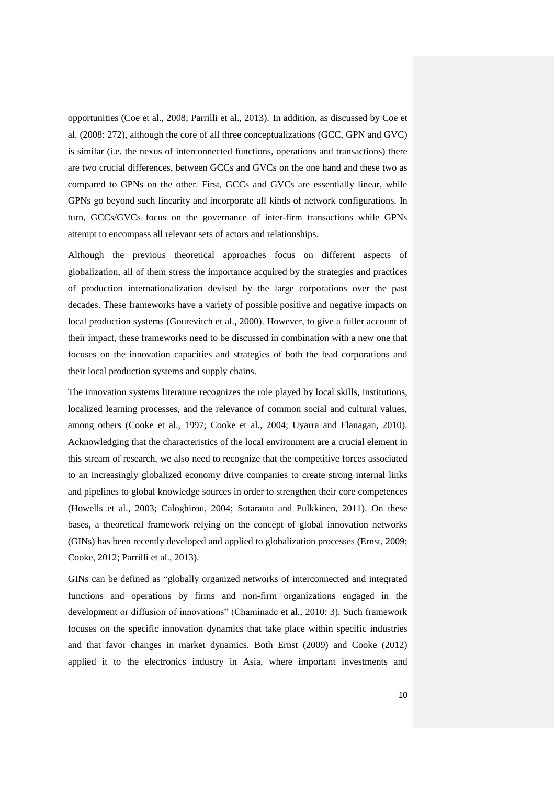opportunities (Coe et al., 2008; Parrilli et al., 2013). In addition, as discussed by Coe et al. (2008: 272), although the core of all three conceptualizations (GCC, GPN and GVC) is similar (i.e. the nexus of interconnected functions, operations and transactions) there are two crucial differences, between GCCs and GVCs on the one hand and these two as compared to GPNs on the other. First, GCCs and GVCs are essentially linear, while GPNs go beyond such linearity and incorporate all kinds of network configurations. In turn, GCCs/GVCs focus on the governance of inter-firm transactions while GPNs attempt to encompass all relevant sets of actors and relationships.

Although the previous theoretical approaches focus on different aspects of globalization, all of them stress the importance acquired by the strategies and practices of production internationalization devised by the large corporations over the past decades. These frameworks have a variety of possible positive and negative impacts on local production systems (Gourevitch et al., 2000). However, to give a fuller account of their impact, these frameworks need to be discussed in combination with a new one that focuses on the innovation capacities and strategies of both the lead corporations and their local production systems and supply chains.

The innovation systems literature recognizes the role played by local skills, institutions, localized learning processes, and the relevance of common social and cultural values, among others (Cooke et al., 1997; Cooke et al., 2004; Uyarra and Flanagan, 2010). Acknowledging that the characteristics of the local environment are a crucial element in this stream of research, we also need to recognize that the competitive forces associated to an increasingly globalized economy drive companies to create strong internal links and pipelines to global knowledge sources in order to strengthen their core competences (Howells et al., 2003; Caloghirou, 2004; Sotarauta and Pulkkinen, 2011). On these bases, a theoretical framework relying on the concept of global innovation networks (GINs) has been recently developed and applied to globalization processes (Ernst, 2009; Cooke, 2012; Parrilli et al., 2013).

GINs can be defined as "globally organized networks of interconnected and integrated functions and operations by firms and non-firm organizations engaged in the development or diffusion of innovations" (Chaminade et al., 2010: 3). Such framework focuses on the specific innovation dynamics that take place within specific industries and that favor changes in market dynamics. Both Ernst (2009) and Cooke (2012) applied it to the electronics industry in Asia, where important investments and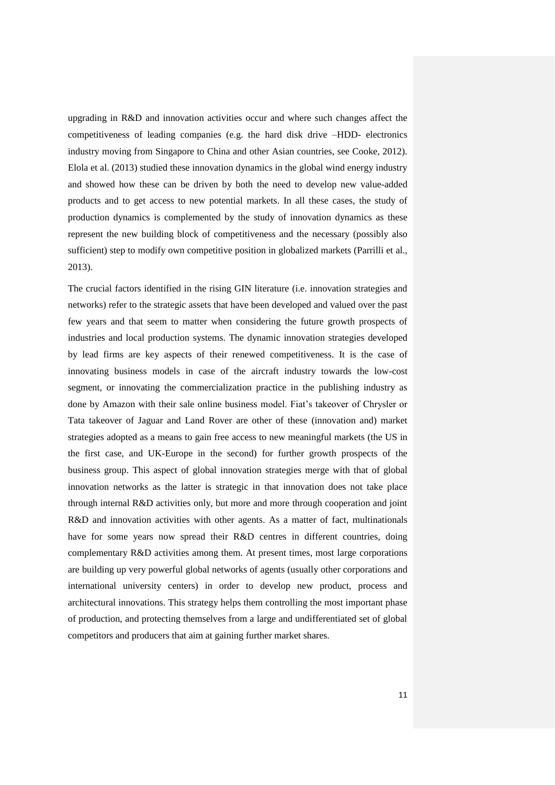upgrading in R&D and innovation activities occur and where such changes affect the competitiveness of leading companies (e.g. the hard disk drive –HDD- electronics industry moving from Singapore to China and other Asian countries, see Cooke, 2012). Elola et al. (2013) studied these innovation dynamics in the global wind energy industry and showed how these can be driven by both the need to develop new value-added products and to get access to new potential markets. In all these cases, the study of production dynamics is complemented by the study of innovation dynamics as these represent the new building block of competitiveness and the necessary (possibly also sufficient) step to modify own competitive position in globalized markets (Parrilli et al., 2013).

The crucial factors identified in the rising GIN literature (i.e. innovation strategies and networks) refer to the strategic assets that have been developed and valued over the past few years and that seem to matter when considering the future growth prospects of industries and local production systems. The dynamic innovation strategies developed by lead firms are key aspects of their renewed competitiveness. It is the case of innovating business models in case of the aircraft industry towards the low-cost segment, or innovating the commercialization practice in the publishing industry as done by Amazon with their sale online business model. Fiat's takeover of Chrysler or Tata takeover of Jaguar and Land Rover are other of these (innovation and) market strategies adopted as a means to gain free access to new meaningful markets (the US in the first case, and UK-Europe in the second) for further growth prospects of the business group. This aspect of global innovation strategies merge with that of global innovation networks as the latter is strategic in that innovation does not take place through internal R&D activities only, but more and more through cooperation and joint R&D and innovation activities with other agents. As a matter of fact, multinationals have for some years now spread their R&D centres in different countries, doing complementary R&D activities among them. At present times, most large corporations are building up very powerful global networks of agents (usually other corporations and international university centers) in order to develop new product, process and architectural innovations. This strategy helps them controlling the most important phase of production, and protecting themselves from a large and undifferentiated set of global competitors and producers that aim at gaining further market shares.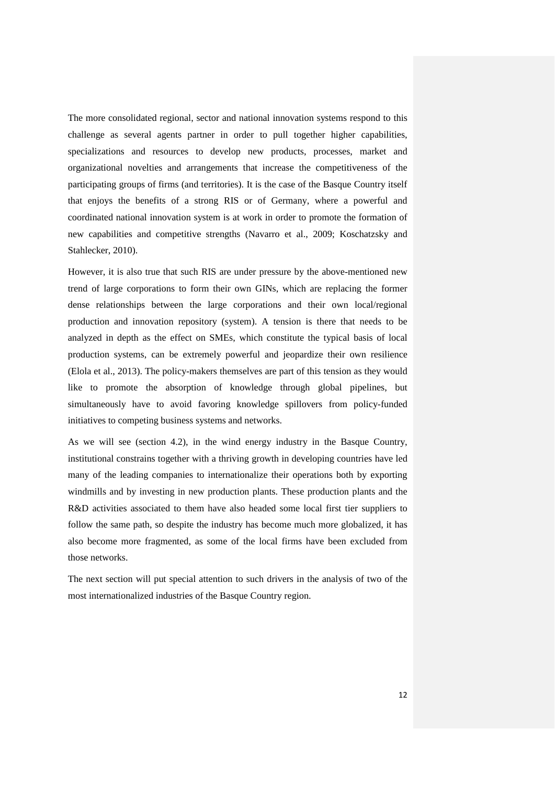The more consolidated regional, sector and national innovation systems respond to this challenge as several agents partner in order to pull together higher capabilities, specializations and resources to develop new products, processes, market and organizational novelties and arrangements that increase the competitiveness of the participating groups of firms (and territories). It is the case of the Basque Country itself that enjoys the benefits of a strong RIS or of Germany, where a powerful and coordinated national innovation system is at work in order to promote the formation of new capabilities and competitive strengths (Navarro et al., 2009; Koschatzsky and Stahlecker, 2010).

However, it is also true that such RIS are under pressure by the above-mentioned new trend of large corporations to form their own GINs, which are replacing the former dense relationships between the large corporations and their own local/regional production and innovation repository (system). A tension is there that needs to be analyzed in depth as the effect on SMEs, which constitute the typical basis of local production systems, can be extremely powerful and jeopardize their own resilience (Elola et al., 2013). The policy-makers themselves are part of this tension as they would like to promote the absorption of knowledge through global pipelines, but simultaneously have to avoid favoring knowledge spillovers from policy-funded initiatives to competing business systems and networks.

As we will see (section 4.2), in the wind energy industry in the Basque Country, institutional constrains together with a thriving growth in developing countries have led many of the leading companies to internationalize their operations both by exporting windmills and by investing in new production plants. These production plants and the R&D activities associated to them have also headed some local first tier suppliers to follow the same path, so despite the industry has become much more globalized, it has also become more fragmented, as some of the local firms have been excluded from those networks.

The next section will put special attention to such drivers in the analysis of two of the most internationalized industries of the Basque Country region.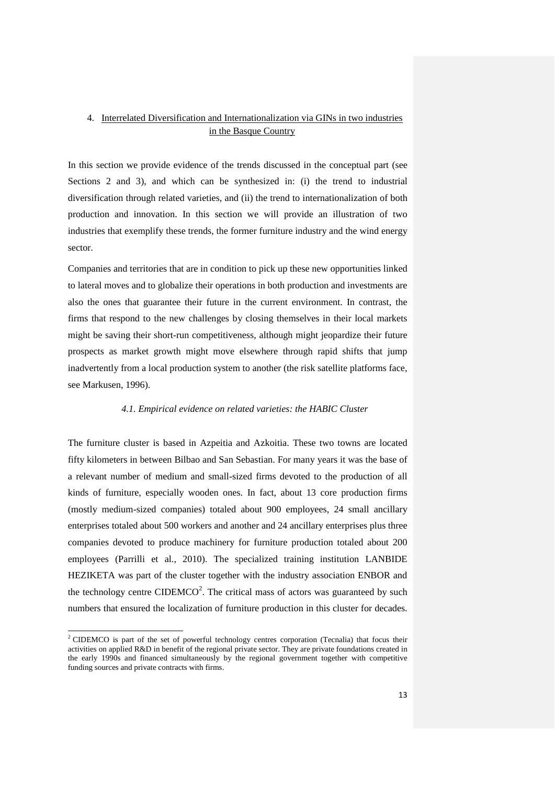# 4. Interrelated Diversification and Internationalization via GINs in two industries in the Basque Country

In this section we provide evidence of the trends discussed in the conceptual part (see Sections 2 and 3), and which can be synthesized in: (i) the trend to industrial diversification through related varieties, and (ii) the trend to internationalization of both production and innovation. In this section we will provide an illustration of two industries that exemplify these trends, the former furniture industry and the wind energy sector.

Companies and territories that are in condition to pick up these new opportunities linked to lateral moves and to globalize their operations in both production and investments are also the ones that guarantee their future in the current environment. In contrast, the firms that respond to the new challenges by closing themselves in their local markets might be saving their short-run competitiveness, although might jeopardize their future prospects as market growth might move elsewhere through rapid shifts that jump inadvertently from a local production system to another (the risk satellite platforms face, see Markusen, 1996).

#### *4.1. Empirical evidence on related varieties: the HABIC Cluster*

The furniture cluster is based in Azpeitia and Azkoitia. These two towns are located fifty kilometers in between Bilbao and San Sebastian. For many years it was the base of a relevant number of medium and small-sized firms devoted to the production of all kinds of furniture, especially wooden ones. In fact, about 13 core production firms (mostly medium-sized companies) totaled about 900 employees, 24 small ancillary enterprises totaled about 500 workers and another and 24 ancillary enterprises plus three companies devoted to produce machinery for furniture production totaled about 200 employees (Parrilli et al., 2010). The specialized training institution LANBIDE HEZIKETA was part of the cluster together with the industry association ENBOR and the technology centre CIDEMCO<sup>2</sup>. The critical mass of actors was guaranteed by such numbers that ensured the localization of furniture production in this cluster for decades.

 $\overline{a}$ 

 $2^2$  CIDEMCO is part of the set of powerful technology centres corporation (Tecnalia) that focus their activities on applied R&D in benefit of the regional private sector. They are private foundations created in the early 1990s and financed simultaneously by the regional government together with competitive funding sources and private contracts with firms.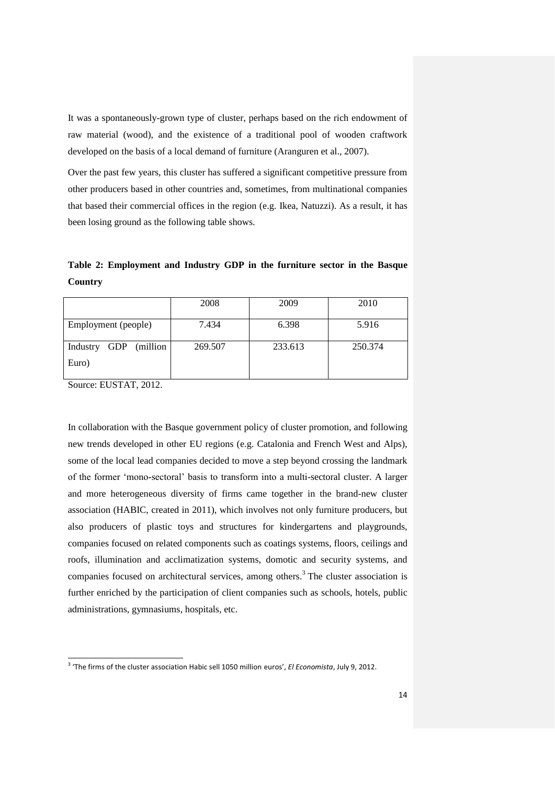It was a spontaneously-grown type of cluster, perhaps based on the rich endowment of raw material (wood), and the existence of a traditional pool of wooden craftwork developed on the basis of a local demand of furniture (Aranguren et al., 2007).

Over the past few years, this cluster has suffered a significant competitive pressure from other producers based in other countries and, sometimes, from multinational companies that based their commercial offices in the region (e.g. Ikea, Natuzzi). As a result, it has been losing ground as the following table shows.

**Table 2: Employment and Industry GDP in the furniture sector in the Basque Country**

|                        | 2008    | 2009    | 2010    |
|------------------------|---------|---------|---------|
| Employment (people)    | 7.434   | 6.398   | 5.916   |
| Industry GDP (million) | 269.507 | 233.613 | 250.374 |
| Euro)                  |         |         |         |

Source: EUSTAT, 2012.

 $\overline{a}$ 

In collaboration with the Basque government policy of cluster promotion, and following new trends developed in other EU regions (e.g. Catalonia and French West and Alps), some of the local lead companies decided to move a step beyond crossing the landmark of the former 'mono-sectoral' basis to transform into a multi-sectoral cluster. A larger and more heterogeneous diversity of firms came together in the brand-new cluster association (HABIC, created in 2011), which involves not only furniture producers, but also producers of plastic toys and structures for kindergartens and playgrounds, companies focused on related components such as coatings systems, floors, ceilings and roofs, illumination and acclimatization systems, domotic and security systems, and companies focused on architectural services, among others. 3 The cluster association is further enriched by the participation of client companies such as schools, hotels, public administrations, gymnasiums, hospitals, etc.

<sup>3</sup> 'The firms of the cluster association Habic sell 1050 million euros', *El Economista*, July 9, 2012.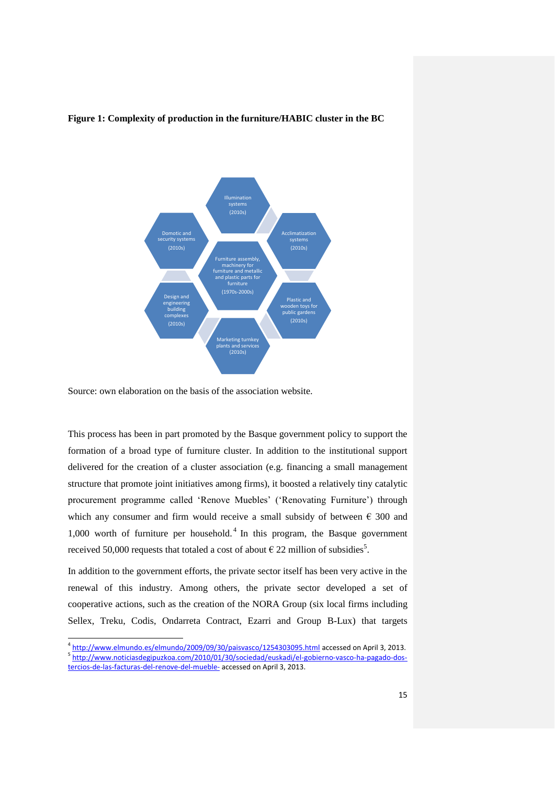### **Figure 1: Complexity of production in the furniture/HABIC cluster in the BC**



Source: own elaboration on the basis of the association website.

This process has been in part promoted by the Basque government policy to support the formation of a broad type of furniture cluster. In addition to the institutional support delivered for the creation of a cluster association (e.g. financing a small management structure that promote joint initiatives among firms), it boosted a relatively tiny catalytic procurement programme called 'Renove Muebles' ('Renovating Furniture') through which any consumer and firm would receive a small subsidy of between  $\epsilon$  300 and  $1,000$  worth of furniture per household.<sup>4</sup> In this program, the Basque government received 50,000 requests that totaled a cost of about  $\epsilon$  22 million of subsidies<sup>5</sup>.

In addition to the government efforts, the private sector itself has been very active in the renewal of this industry. Among others, the private sector developed a set of cooperative actions, such as the creation of the NORA Group (six local firms including Sellex, Treku, Codis, Ondarreta Contract, Ezarri and Group B-Lux) that targets

 4 <http://www.elmundo.es/elmundo/2009/09/30/paisvasco/1254303095.html> accessed on April 3, 2013. <sup>5</sup> [http://www.noticiasdegipuzkoa.com/2010/01/30/sociedad/euskadi/el-gobierno-vasco-ha-pagado-dos](http://www.noticiasdegipuzkoa.com/2010/01/30/sociedad/euskadi/el-gobierno-vasco-ha-pagado-dos-tercios-de-las-facturas-del-renove-del-mueble-)[tercios-de-las-facturas-del-renove-del-mueble-](http://www.noticiasdegipuzkoa.com/2010/01/30/sociedad/euskadi/el-gobierno-vasco-ha-pagado-dos-tercios-de-las-facturas-del-renove-del-mueble-) accessed on April 3, 2013.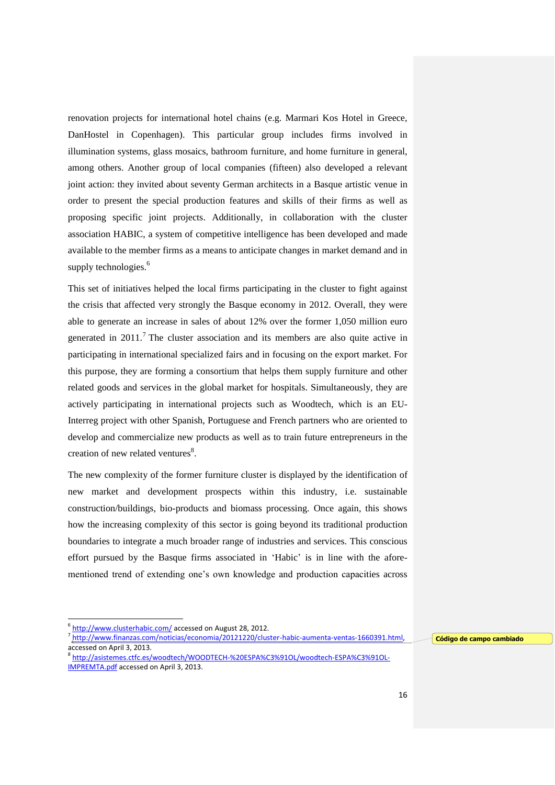renovation projects for international hotel chains (e.g. Marmari Kos Hotel in Greece, DanHostel in Copenhagen). This particular group includes firms involved in illumination systems, glass mosaics, bathroom furniture, and home furniture in general, among others. Another group of local companies (fifteen) also developed a relevant joint action: they invited about seventy German architects in a Basque artistic venue in order to present the special production features and skills of their firms as well as proposing specific joint projects. Additionally, in collaboration with the cluster association HABIC, a system of competitive intelligence has been developed and made available to the member firms as a means to anticipate changes in market demand and in supply technologies.<sup>6</sup>

This set of initiatives helped the local firms participating in the cluster to fight against the crisis that affected very strongly the Basque economy in 2012. Overall, they were able to generate an increase in sales of about 12% over the former 1,050 million euro generated in  $2011$ .<sup>7</sup> The cluster association and its members are also quite active in participating in international specialized fairs and in focusing on the export market. For this purpose, they are forming a consortium that helps them supply furniture and other related goods and services in the global market for hospitals. Simultaneously, they are actively participating in international projects such as Woodtech, which is an EU-Interreg project with other Spanish, Portuguese and French partners who are oriented to develop and commercialize new products as well as to train future entrepreneurs in the creation of new related ventures<sup>8</sup>.

The new complexity of the former furniture cluster is displayed by the identification of new market and development prospects within this industry, i.e. sustainable construction/buildings, bio-products and biomass processing. Once again, this shows how the increasing complexity of this sector is going beyond its traditional production boundaries to integrate a much broader range of industries and services. This conscious effort pursued by the Basque firms associated in 'Habic' is in line with the aforementioned trend of extending one's own knowledge and production capacities across

 $\overline{a}$ 

**Código de campo cambiado**

<sup>&</sup>lt;sup>6</sup> <http://www.clusterhabic.com/> accessed on August 28, 2012.

<sup>&</sup>lt;sup>7</sup> [http://www.finanzas.com/noticias/economia/20121220/cluster-habic-aumenta-ventas-1660391.html,](http://www.finanzas.com/noticias/economia/20121220/cluster-habic-aumenta-ventas-1660391.html) accessed on April 3, 2013.

<sup>8</sup> [http://asistemes.ctfc.es/woodtech/WOODTECH-%20ESPA%C3%91OL/woodtech-ESPA%C3%91OL-](http://asistemes.ctfc.es/woodtech/WOODTECH-%20ESPA%C3%91OL/woodtech-ESPA%C3%91OL-IMPREMTA.pdf)[IMPREMTA.pdf](http://asistemes.ctfc.es/woodtech/WOODTECH-%20ESPA%C3%91OL/woodtech-ESPA%C3%91OL-IMPREMTA.pdf) accessed on April 3, 2013.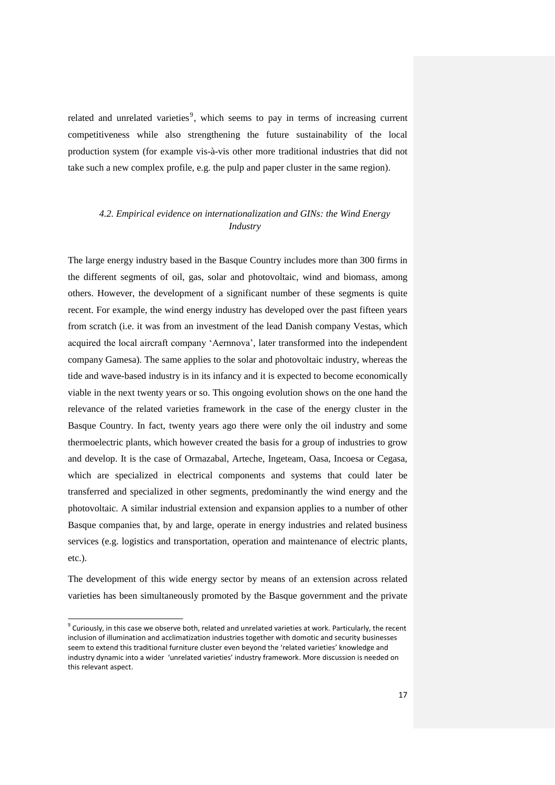related and unrelated varieties<sup>9</sup>, which seems to pay in terms of increasing current competitiveness while also strengthening the future sustainability of the local production system (for example vis-à-vis other more traditional industries that did not take such a new complex profile, e.g. the pulp and paper cluster in the same region).

# *4.2. Empirical evidence on internationalization and GINs: the Wind Energy Industry*

The large energy industry based in the Basque Country includes more than 300 firms in the different segments of oil, gas, solar and photovoltaic, wind and biomass, among others. However, the development of a significant number of these segments is quite recent. For example, the wind energy industry has developed over the past fifteen years from scratch (i.e. it was from an investment of the lead Danish company Vestas, which acquired the local aircraft company 'Aernnova', later transformed into the independent company Gamesa). The same applies to the solar and photovoltaic industry, whereas the tide and wave-based industry is in its infancy and it is expected to become economically viable in the next twenty years or so. This ongoing evolution shows on the one hand the relevance of the related varieties framework in the case of the energy cluster in the Basque Country. In fact, twenty years ago there were only the oil industry and some thermoelectric plants, which however created the basis for a group of industries to grow and develop. It is the case of Ormazabal, Arteche, Ingeteam, Oasa, Incoesa or Cegasa, which are specialized in electrical components and systems that could later be transferred and specialized in other segments, predominantly the wind energy and the photovoltaic. A similar industrial extension and expansion applies to a number of other Basque companies that, by and large, operate in energy industries and related business services (e.g. logistics and transportation, operation and maintenance of electric plants, etc.).

The development of this wide energy sector by means of an extension across related varieties has been simultaneously promoted by the Basque government and the private

 $\overline{a}$ 

 $^9$  Curiously, in this case we observe both, related and unrelated varieties at work. Particularly, the recent inclusion of illumination and acclimatization industries together with domotic and security businesses seem to extend this traditional furniture cluster even beyond the 'related varieties' knowledge and industry dynamic into a wider 'unrelated varieties' industry framework. More discussion is needed on this relevant aspect.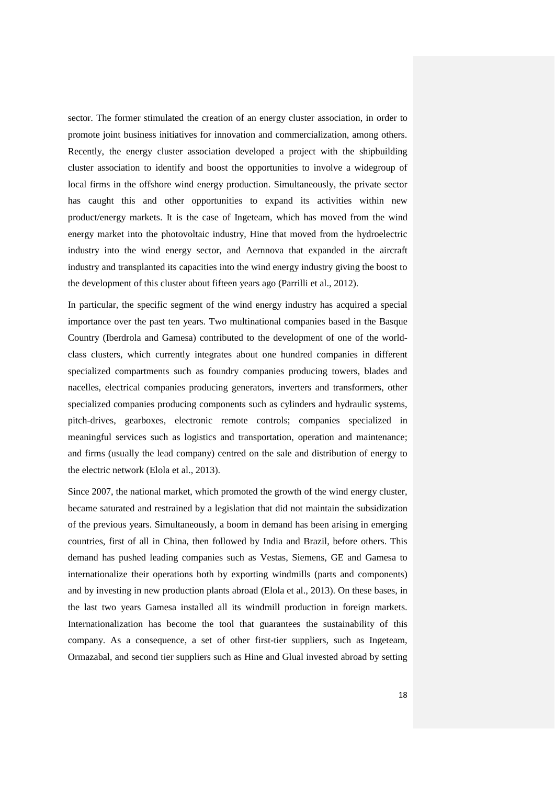sector. The former stimulated the creation of an energy cluster association, in order to promote joint business initiatives for innovation and commercialization, among others. Recently, the energy cluster association developed a project with the shipbuilding cluster association to identify and boost the opportunities to involve a widegroup of local firms in the offshore wind energy production. Simultaneously, the private sector has caught this and other opportunities to expand its activities within new product/energy markets. It is the case of Ingeteam, which has moved from the wind energy market into the photovoltaic industry, Hine that moved from the hydroelectric industry into the wind energy sector, and Aernnova that expanded in the aircraft industry and transplanted its capacities into the wind energy industry giving the boost to the development of this cluster about fifteen years ago (Parrilli et al., 2012).

In particular, the specific segment of the wind energy industry has acquired a special importance over the past ten years. Two multinational companies based in the Basque Country (Iberdrola and Gamesa) contributed to the development of one of the worldclass clusters, which currently integrates about one hundred companies in different specialized compartments such as foundry companies producing towers, blades and nacelles, electrical companies producing generators, inverters and transformers, other specialized companies producing components such as cylinders and hydraulic systems, pitch-drives, gearboxes, electronic remote controls; companies specialized in meaningful services such as logistics and transportation, operation and maintenance; and firms (usually the lead company) centred on the sale and distribution of energy to the electric network (Elola et al., 2013).

Since 2007, the national market, which promoted the growth of the wind energy cluster, became saturated and restrained by a legislation that did not maintain the subsidization of the previous years. Simultaneously, a boom in demand has been arising in emerging countries, first of all in China, then followed by India and Brazil, before others. This demand has pushed leading companies such as Vestas, Siemens, GE and Gamesa to internationalize their operations both by exporting windmills (parts and components) and by investing in new production plants abroad (Elola et al., 2013). On these bases, in the last two years Gamesa installed all its windmill production in foreign markets. Internationalization has become the tool that guarantees the sustainability of this company. As a consequence, a set of other first-tier suppliers, such as Ingeteam, Ormazabal, and second tier suppliers such as Hine and Glual invested abroad by setting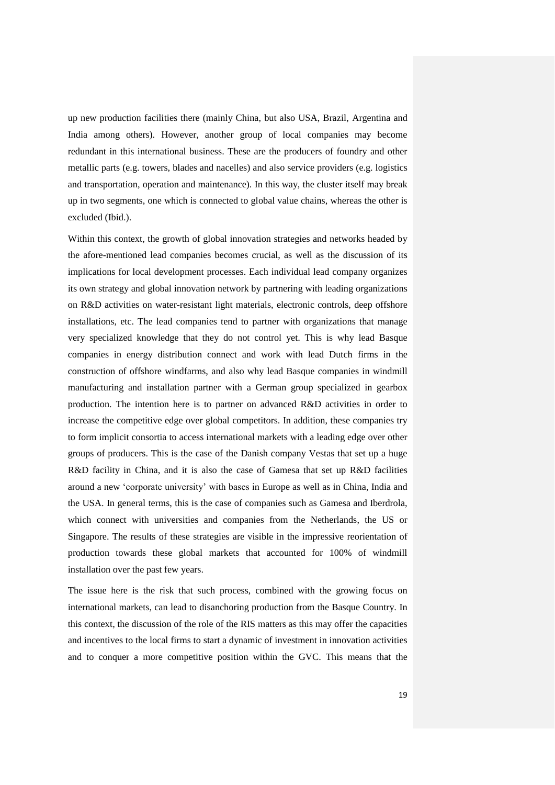up new production facilities there (mainly China, but also USA, Brazil, Argentina and India among others). However, another group of local companies may become redundant in this international business. These are the producers of foundry and other metallic parts (e.g. towers, blades and nacelles) and also service providers (e.g. logistics and transportation, operation and maintenance). In this way, the cluster itself may break up in two segments, one which is connected to global value chains, whereas the other is excluded (Ibid.).

Within this context, the growth of global innovation strategies and networks headed by the afore-mentioned lead companies becomes crucial, as well as the discussion of its implications for local development processes. Each individual lead company organizes its own strategy and global innovation network by partnering with leading organizations on R&D activities on water-resistant light materials, electronic controls, deep offshore installations, etc. The lead companies tend to partner with organizations that manage very specialized knowledge that they do not control yet. This is why lead Basque companies in energy distribution connect and work with lead Dutch firms in the construction of offshore windfarms, and also why lead Basque companies in windmill manufacturing and installation partner with a German group specialized in gearbox production. The intention here is to partner on advanced R&D activities in order to increase the competitive edge over global competitors. In addition, these companies try to form implicit consortia to access international markets with a leading edge over other groups of producers. This is the case of the Danish company Vestas that set up a huge R&D facility in China, and it is also the case of Gamesa that set up R&D facilities around a new 'corporate university' with bases in Europe as well as in China, India and the USA. In general terms, this is the case of companies such as Gamesa and Iberdrola, which connect with universities and companies from the Netherlands, the US or Singapore. The results of these strategies are visible in the impressive reorientation of production towards these global markets that accounted for 100% of windmill installation over the past few years.

The issue here is the risk that such process, combined with the growing focus on international markets, can lead to disanchoring production from the Basque Country. In this context, the discussion of the role of the RIS matters as this may offer the capacities and incentives to the local firms to start a dynamic of investment in innovation activities and to conquer a more competitive position within the GVC. This means that the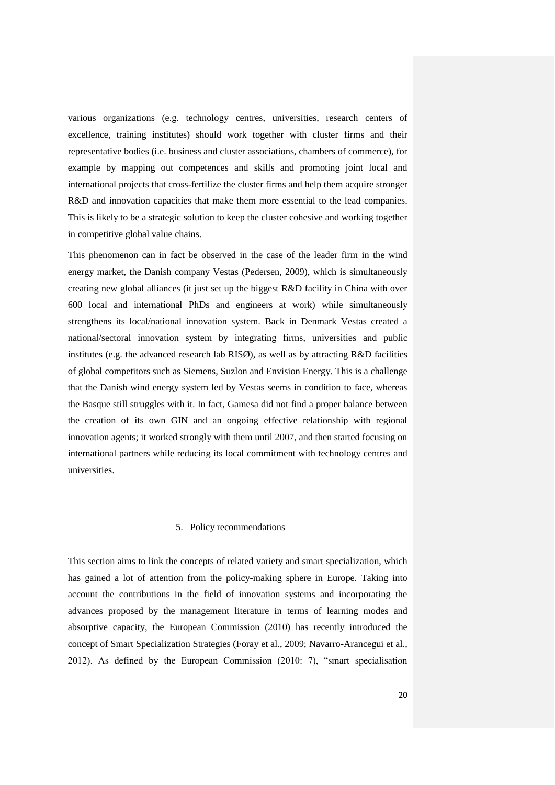various organizations (e.g. technology centres, universities, research centers of excellence, training institutes) should work together with cluster firms and their representative bodies (i.e. business and cluster associations, chambers of commerce), for example by mapping out competences and skills and promoting joint local and international projects that cross-fertilize the cluster firms and help them acquire stronger R&D and innovation capacities that make them more essential to the lead companies. This is likely to be a strategic solution to keep the cluster cohesive and working together in competitive global value chains.

This phenomenon can in fact be observed in the case of the leader firm in the wind energy market, the Danish company Vestas (Pedersen, 2009), which is simultaneously creating new global alliances (it just set up the biggest R&D facility in China with over 600 local and international PhDs and engineers at work) while simultaneously strengthens its local/national innovation system. Back in Denmark Vestas created a national/sectoral innovation system by integrating firms, universities and public institutes (e.g. the advanced research lab RISØ), as well as by attracting R&D facilities of global competitors such as Siemens, Suzlon and Envision Energy. This is a challenge that the Danish wind energy system led by Vestas seems in condition to face, whereas the Basque still struggles with it. In fact, Gamesa did not find a proper balance between the creation of its own GIN and an ongoing effective relationship with regional innovation agents; it worked strongly with them until 2007, and then started focusing on international partners while reducing its local commitment with technology centres and universities.

### 5. Policy recommendations

This section aims to link the concepts of related variety and smart specialization, which has gained a lot of attention from the policy-making sphere in Europe. Taking into account the contributions in the field of innovation systems and incorporating the advances proposed by the management literature in terms of learning modes and absorptive capacity, the European Commission (2010) has recently introduced the concept of Smart Specialization Strategies (Foray et al., 2009; Navarro-Arancegui et al., 2012). As defined by the European Commission (2010: 7), "smart specialisation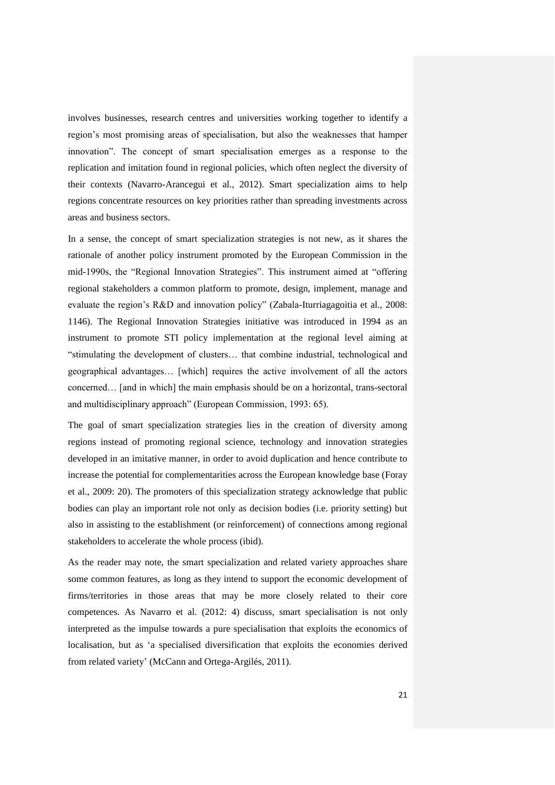involves businesses, research centres and universities working together to identify a region's most promising areas of specialisation, but also the weaknesses that hamper innovation". The concept of smart specialisation emerges as a response to the replication and imitation found in regional policies, which often neglect the diversity of their contexts (Navarro-Arancegui et al., 2012). Smart specialization aims to help regions concentrate resources on key priorities rather than spreading investments across areas and business sectors.

In a sense, the concept of smart specialization strategies is not new, as it shares the rationale of another policy instrument promoted by the European Commission in the mid-1990s, the "Regional Innovation Strategies". This instrument aimed at "offering regional stakeholders a common platform to promote, design, implement, manage and evaluate the region's R&D and innovation policy" (Zabala-Iturriagagoitia et al., 2008: 1146). The Regional Innovation Strategies initiative was introduced in 1994 as an instrument to promote STI policy implementation at the regional level aiming at "stimulating the development of clusters… that combine industrial, technological and geographical advantages… [which] requires the active involvement of all the actors concerned… [and in which] the main emphasis should be on a horizontal, trans-sectoral and multidisciplinary approach" (European Commission, 1993: 65).

The goal of smart specialization strategies lies in the creation of diversity among regions instead of promoting regional science, technology and innovation strategies developed in an imitative manner, in order to avoid duplication and hence contribute to increase the potential for complementarities across the European knowledge base (Foray et al., 2009: 20). The promoters of this specialization strategy acknowledge that public bodies can play an important role not only as decision bodies (i.e. priority setting) but also in assisting to the establishment (or reinforcement) of connections among regional stakeholders to accelerate the whole process (ibid).

As the reader may note, the smart specialization and related variety approaches share some common features, as long as they intend to support the economic development of firms/territories in those areas that may be more closely related to their core competences. As Navarro et al. (2012: 4) discuss, smart specialisation is not only interpreted as the impulse towards a pure specialisation that exploits the economics of localisation, but as 'a specialised diversification that exploits the economies derived from related variety' (McCann and Ortega-Argilés, 2011).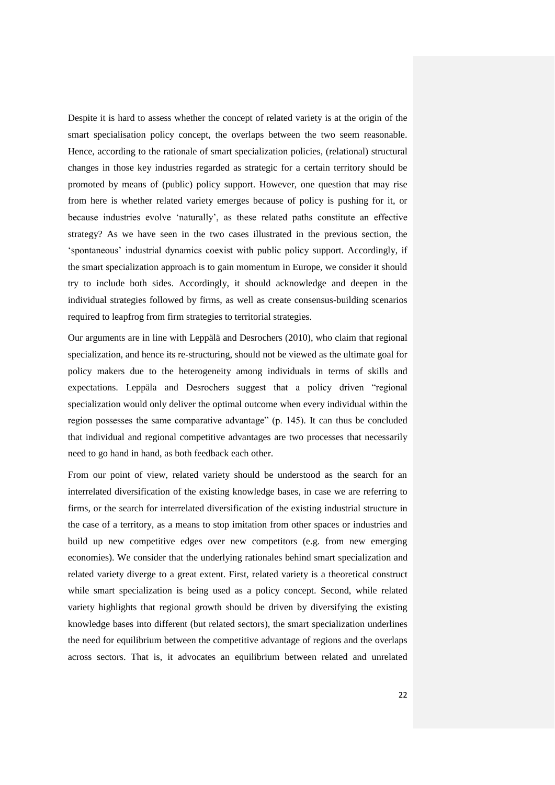Despite it is hard to assess whether the concept of related variety is at the origin of the smart specialisation policy concept, the overlaps between the two seem reasonable. Hence, according to the rationale of smart specialization policies, (relational) structural changes in those key industries regarded as strategic for a certain territory should be promoted by means of (public) policy support. However, one question that may rise from here is whether related variety emerges because of policy is pushing for it, or because industries evolve 'naturally', as these related paths constitute an effective strategy? As we have seen in the two cases illustrated in the previous section, the 'spontaneous' industrial dynamics coexist with public policy support. Accordingly, if the smart specialization approach is to gain momentum in Europe, we consider it should try to include both sides. Accordingly, it should acknowledge and deepen in the individual strategies followed by firms, as well as create consensus-building scenarios required to leapfrog from firm strategies to territorial strategies.

Our arguments are in line with Leppälä and Desrochers (2010), who claim that regional specialization, and hence its re-structuring, should not be viewed as the ultimate goal for policy makers due to the heterogeneity among individuals in terms of skills and expectations. Leppäla and Desrochers suggest that a policy driven "regional specialization would only deliver the optimal outcome when every individual within the region possesses the same comparative advantage" (p. 145). It can thus be concluded that individual and regional competitive advantages are two processes that necessarily need to go hand in hand, as both feedback each other.

From our point of view, related variety should be understood as the search for an interrelated diversification of the existing knowledge bases, in case we are referring to firms, or the search for interrelated diversification of the existing industrial structure in the case of a territory, as a means to stop imitation from other spaces or industries and build up new competitive edges over new competitors (e.g. from new emerging economies). We consider that the underlying rationales behind smart specialization and related variety diverge to a great extent. First, related variety is a theoretical construct while smart specialization is being used as a policy concept. Second, while related variety highlights that regional growth should be driven by diversifying the existing knowledge bases into different (but related sectors), the smart specialization underlines the need for equilibrium between the competitive advantage of regions and the overlaps across sectors. That is, it advocates an equilibrium between related and unrelated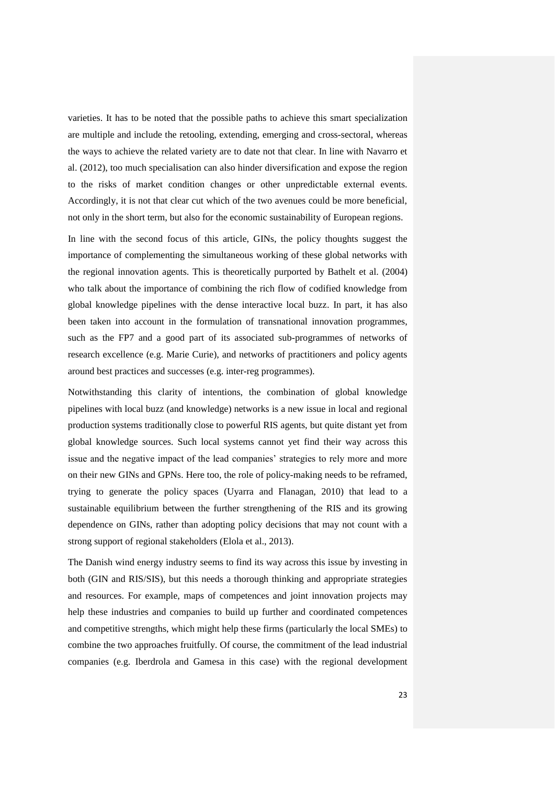varieties. It has to be noted that the possible paths to achieve this smart specialization are multiple and include the retooling, extending, emerging and cross-sectoral, whereas the ways to achieve the related variety are to date not that clear. In line with Navarro et al. (2012), too much specialisation can also hinder diversification and expose the region to the risks of market condition changes or other unpredictable external events. Accordingly, it is not that clear cut which of the two avenues could be more beneficial, not only in the short term, but also for the economic sustainability of European regions.

In line with the second focus of this article, GINs, the policy thoughts suggest the importance of complementing the simultaneous working of these global networks with the regional innovation agents. This is theoretically purported by Bathelt et al. (2004) who talk about the importance of combining the rich flow of codified knowledge from global knowledge pipelines with the dense interactive local buzz. In part, it has also been taken into account in the formulation of transnational innovation programmes, such as the FP7 and a good part of its associated sub-programmes of networks of research excellence (e.g. Marie Curie), and networks of practitioners and policy agents around best practices and successes (e.g. inter-reg programmes).

Notwithstanding this clarity of intentions, the combination of global knowledge pipelines with local buzz (and knowledge) networks is a new issue in local and regional production systems traditionally close to powerful RIS agents, but quite distant yet from global knowledge sources. Such local systems cannot yet find their way across this issue and the negative impact of the lead companies' strategies to rely more and more on their new GINs and GPNs. Here too, the role of policy-making needs to be reframed, trying to generate the policy spaces (Uyarra and Flanagan, 2010) that lead to a sustainable equilibrium between the further strengthening of the RIS and its growing dependence on GINs, rather than adopting policy decisions that may not count with a strong support of regional stakeholders (Elola et al., 2013).

The Danish wind energy industry seems to find its way across this issue by investing in both (GIN and RIS/SIS), but this needs a thorough thinking and appropriate strategies and resources. For example, maps of competences and joint innovation projects may help these industries and companies to build up further and coordinated competences and competitive strengths, which might help these firms (particularly the local SMEs) to combine the two approaches fruitfully. Of course, the commitment of the lead industrial companies (e.g. Iberdrola and Gamesa in this case) with the regional development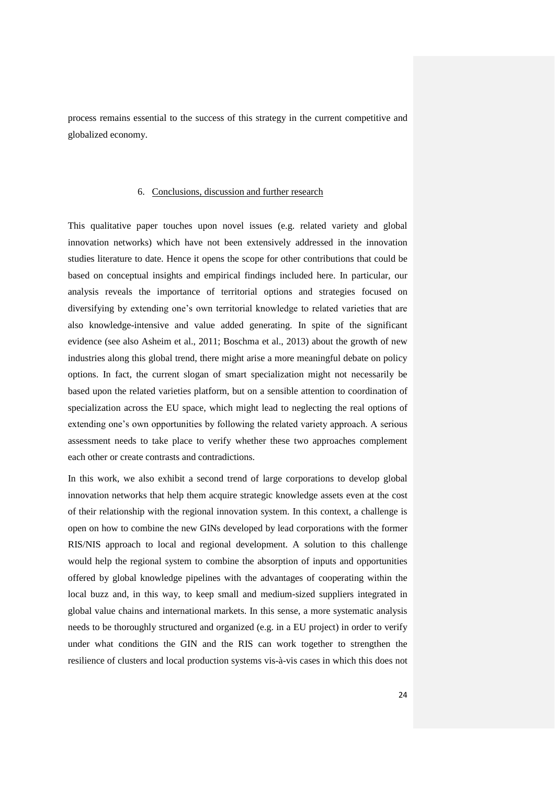process remains essential to the success of this strategy in the current competitive and globalized economy.

### 6. Conclusions, discussion and further research

This qualitative paper touches upon novel issues (e.g. related variety and global innovation networks) which have not been extensively addressed in the innovation studies literature to date. Hence it opens the scope for other contributions that could be based on conceptual insights and empirical findings included here. In particular, our analysis reveals the importance of territorial options and strategies focused on diversifying by extending one's own territorial knowledge to related varieties that are also knowledge-intensive and value added generating. In spite of the significant evidence (see also Asheim et al., 2011; Boschma et al., 2013) about the growth of new industries along this global trend, there might arise a more meaningful debate on policy options. In fact, the current slogan of smart specialization might not necessarily be based upon the related varieties platform, but on a sensible attention to coordination of specialization across the EU space, which might lead to neglecting the real options of extending one's own opportunities by following the related variety approach. A serious assessment needs to take place to verify whether these two approaches complement each other or create contrasts and contradictions.

In this work, we also exhibit a second trend of large corporations to develop global innovation networks that help them acquire strategic knowledge assets even at the cost of their relationship with the regional innovation system. In this context, a challenge is open on how to combine the new GINs developed by lead corporations with the former RIS/NIS approach to local and regional development. A solution to this challenge would help the regional system to combine the absorption of inputs and opportunities offered by global knowledge pipelines with the advantages of cooperating within the local buzz and, in this way, to keep small and medium-sized suppliers integrated in global value chains and international markets. In this sense, a more systematic analysis needs to be thoroughly structured and organized (e.g. in a EU project) in order to verify under what conditions the GIN and the RIS can work together to strengthen the resilience of clusters and local production systems vis-à-vis cases in which this does not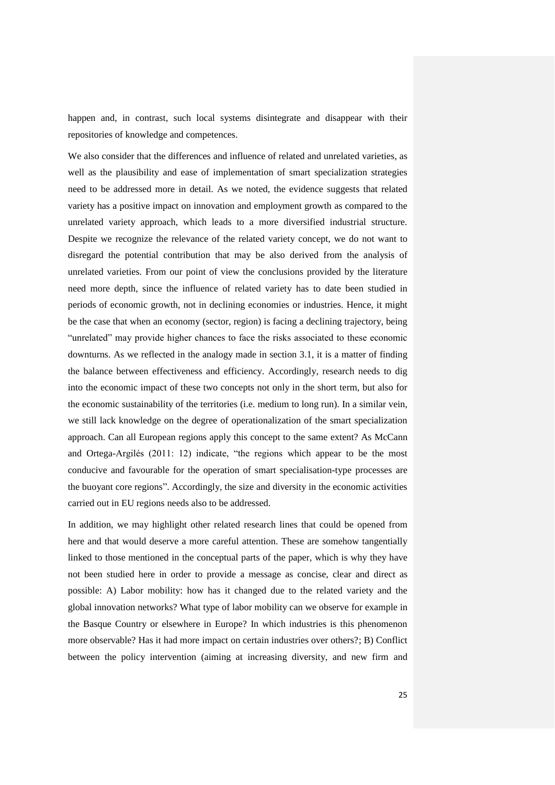happen and, in contrast, such local systems disintegrate and disappear with their repositories of knowledge and competences.

We also consider that the differences and influence of related and unrelated varieties, as well as the plausibility and ease of implementation of smart specialization strategies need to be addressed more in detail. As we noted, the evidence suggests that related variety has a positive impact on innovation and employment growth as compared to the unrelated variety approach, which leads to a more diversified industrial structure. Despite we recognize the relevance of the related variety concept, we do not want to disregard the potential contribution that may be also derived from the analysis of unrelated varieties. From our point of view the conclusions provided by the literature need more depth, since the influence of related variety has to date been studied in periods of economic growth, not in declining economies or industries. Hence, it might be the case that when an economy (sector, region) is facing a declining trajectory, being "unrelated" may provide higher chances to face the risks associated to these economic downturns. As we reflected in the analogy made in section 3.1, it is a matter of finding the balance between effectiveness and efficiency. Accordingly, research needs to dig into the economic impact of these two concepts not only in the short term, but also for the economic sustainability of the territories (i.e. medium to long run). In a similar vein, we still lack knowledge on the degree of operationalization of the smart specialization approach. Can all European regions apply this concept to the same extent? As McCann and Ortega-Argilés (2011: 12) indicate, "the regions which appear to be the most conducive and favourable for the operation of smart specialisation-type processes are the buoyant core regions". Accordingly, the size and diversity in the economic activities carried out in EU regions needs also to be addressed.

In addition, we may highlight other related research lines that could be opened from here and that would deserve a more careful attention. These are somehow tangentially linked to those mentioned in the conceptual parts of the paper, which is why they have not been studied here in order to provide a message as concise, clear and direct as possible: A) Labor mobility: how has it changed due to the related variety and the global innovation networks? What type of labor mobility can we observe for example in the Basque Country or elsewhere in Europe? In which industries is this phenomenon more observable? Has it had more impact on certain industries over others?; B) Conflict between the policy intervention (aiming at increasing diversity, and new firm and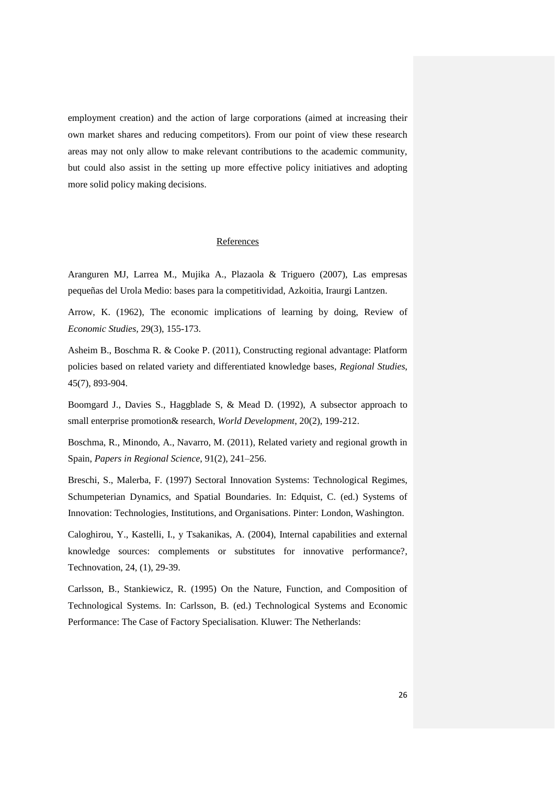employment creation) and the action of large corporations (aimed at increasing their own market shares and reducing competitors). From our point of view these research areas may not only allow to make relevant contributions to the academic community, but could also assist in the setting up more effective policy initiatives and adopting more solid policy making decisions.

# **References**

Aranguren MJ, Larrea M., Mujika A., Plazaola & Triguero (2007), Las empresas pequeñas del Urola Medio: bases para la competitividad, Azkoitia, Iraurgi Lantzen.

Arrow, K. (1962), The economic implications of learning by doing, Review of *Economic Studies,* 29(3), 155-173.

Asheim B., Boschma R. & Cooke P. (2011), [Constructing regional advantage: Platform](http://ideas.repec.org/p/egu/wpaper/0709.html)  [policies based on related variety and differentiated knowledge bases,](http://ideas.repec.org/p/egu/wpaper/0709.html) *[Regional](http://ideas.repec.org/s/egu/wpaper.html) Studies*, 45(7), 893-904.

Boomgard J., Davies S., Haggblade S, & Mead D. (1992), [A subsector approach to](http://ideas.repec.org/a/eee/wdevel/v20y1992i2p199-212.html)  [small enterprise promotion& research,](http://ideas.repec.org/a/eee/wdevel/v20y1992i2p199-212.html) *[World Development](http://ideas.repec.org/s/eee/wdevel.html)*, 20(2), 199-212.

Boschma, R., Minondo, A., Navarro, M. (2011), Related variety and regional growth in Spain, *Papers in Regional Science*, 91(2), 241–256.

Breschi, S., Malerba, F. (1997) Sectoral Innovation Systems: Technological Regimes, Schumpeterian Dynamics, and Spatial Boundaries. In: Edquist, C. (ed.) Systems of Innovation: Technologies, Institutions, and Organisations. Pinter: London, Washington.

Caloghirou, Y., Kastelli, I., y Tsakanikas, A. (2004), Internal capabilities and external knowledge sources: complements or substitutes for innovative performance?, Technovation, 24, (1), 29-39.

Carlsson, B., Stankiewicz, R. (1995) On the Nature, Function, and Composition of Technological Systems. In: Carlsson, B. (ed.) Technological Systems and Economic Performance: The Case of Factory Specialisation. Kluwer: The Netherlands: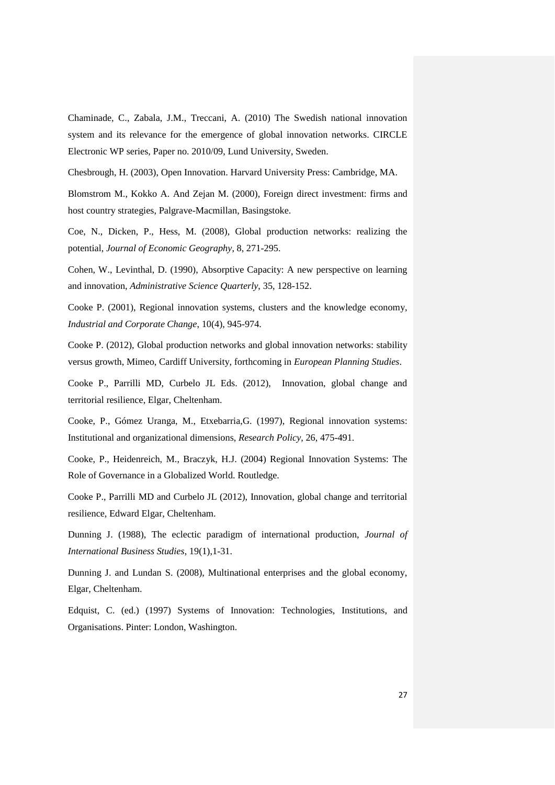Chaminade, C., Zabala, J.M., Treccani, A. (2010) The Swedish national innovation system and its relevance for the emergence of global innovation networks. CIRCLE Electronic WP series, Paper no. 2010/09, Lund University, Sweden.

Chesbrough, H. (2003), Open Innovation. Harvard University Press: Cambridge, MA.

Blomstrom M., Kokko A. And Zejan M. (2000), Foreign direct investment: firms and host country strategies, Palgrave-Macmillan, Basingstoke.

Coe, N., Dicken, P., Hess, M. (2008), Global production networks: realizing the potential, *Journal of Economic Geography*, 8, 271-295.

Cohen, W., Levinthal, D. (1990), Absorptive Capacity: A new perspective on learning and innovation, *Administrative Science Quarterly*, 35, 128-152.

Cooke P. (2001), Regional innovation systems, clusters and the knowledge economy, *Industrial and Corporate Change*, 10(4), 945-974.

Cooke P. (2012), Global production networks and global innovation networks: stability versus growth, Mimeo, Cardiff University, forthcoming in *European Planning Studies*.

Cooke P., Parrilli MD, Curbelo JL Eds. (2012), Innovation, global change and territorial resilience, Elgar, Cheltenham.

Cooke, P., Gómez Uranga, M., Etxebarria,G. (1997), Regional innovation systems: Institutional and organizational dimensions, *Research Policy,* 26, 475-491.

Cooke, P., Heidenreich, M., Braczyk, H.J. (2004) Regional Innovation Systems: The Role of Governance in a Globalized World. Routledge.

Cooke P., Parrilli MD and Curbelo JL (2012), Innovation, global change and territorial resilience, Edward Elgar, Cheltenham.

Dunning J. (1988), The eclectic paradigm of international production, *Journal of International Business Studies*, 19(1),1-31.

Dunning J. and Lundan S. (2008), Multinational enterprises and the global economy, Elgar, Cheltenham.

Edquist, C. (ed.) (1997) Systems of Innovation: Technologies, Institutions, and Organisations. Pinter: London, Washington.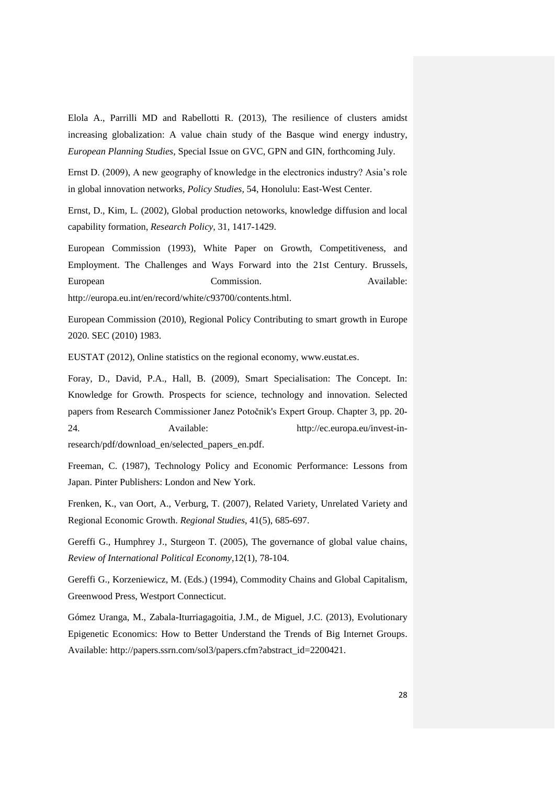Elola A., Parrilli MD and Rabellotti R. (2013), The resilience of clusters amidst increasing globalization: A value chain study of the Basque wind energy industry, *European Planning Studies*, Special Issue on GVC, GPN and GIN, forthcoming July.

Ernst D. (2009), A new geography of knowledge in the electronics industry? Asia's role in global innovation networks, *Policy Studies,* 54, Honolulu: East-West Center.

Ernst, D., Kim, L. (2002), Global production netoworks, knowledge diffusion and local capability formation, *Research Policy*, 31, 1417-1429.

European Commission (1993), White Paper on Growth, Competitiveness, and Employment. The Challenges and Ways Forward into the 21st Century. Brussels, European Commission. Available: [http://europa.eu.int/en/record/white/c93700/contents.html.](http://europa.eu.int/en/record/white/c93700/contents.html)

European Commission (2010), Regional Policy Contributing to smart growth in Europe 2020. SEC (2010) 1983.

EUSTAT (2012), Online statistics on the regional economy, [www.eustat.es.](http://www.eustat.es/)

Foray, D., David, P.A., Hall, B. (2009), Smart Specialisation: The Concept. In: Knowledge for Growth. Prospects for science, technology and innovation. Selected papers from Research Commissioner Janez Potočnik's Expert Group. Chapter 3, pp. 20- 24. Available: [http://ec.europa.eu/invest-in](http://ec.europa.eu/invest-in-research/pdf/download_en/selected_papers_en.pdf)[research/pdf/download\\_en/selected\\_papers\\_en.pdf.](http://ec.europa.eu/invest-in-research/pdf/download_en/selected_papers_en.pdf)

Freeman, C. (1987), Technology Policy and Economic Performance: Lessons from Japan. Pinter Publishers: London and New York.

Frenken, K., van Oort, A., Verburg, T. (2007), Related Variety, Unrelated Variety and Regional Economic Growth. *Regional Studies*, 41(5), 685-697.

Gereffi G., Humphrey J., Sturgeon T. (2005), The governance of global value chains, *Review of International Political Economy*,12(1), 78-104.

Gereffi G., Korzeniewicz, M. (Eds.) (1994), Commodity Chains and Global Capitalism, Greenwood Press, Westport Connecticut.

Gómez Uranga, M., Zabala-Iturriagagoitia, J.M., de Miguel, J.C. (2013), Evolutionary Epigenetic Economics: How to Better Understand the Trends of Big Internet Groups. Available: [http://papers.ssrn.com/sol3/papers.cfm?abstract\\_id=2200421.](http://papers.ssrn.com/sol3/papers.cfm?abstract_id=2200421)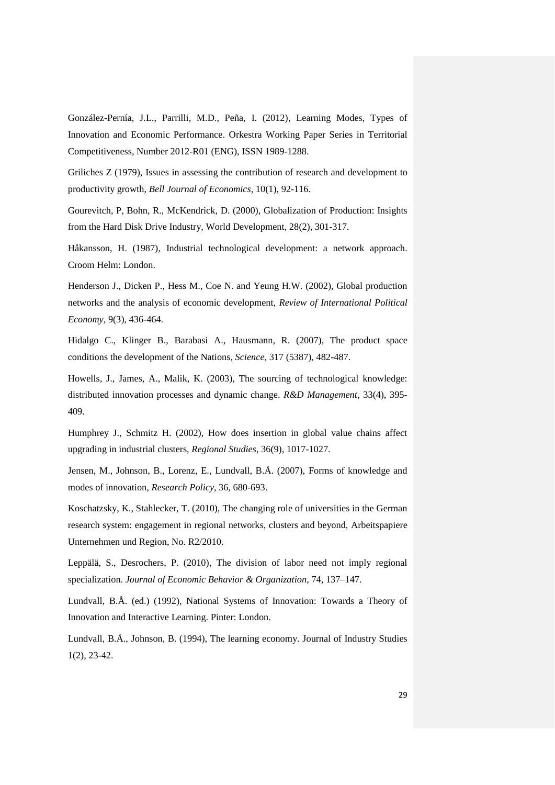González-Pernía, J.L., Parrilli, M.D., Peña, I. (2012), Learning Modes, Types of Innovation and Economic Performance. Orkestra Working Paper Series in Territorial Competitiveness, Number 2012-R01 (ENG), ISSN 1989-1288.

Griliches Z (1979), I[ssues in assessing the contribution of research and development to](http://ideas.repec.org/a/rje/bellje/v10y1979ispringp92-116.html)  [productivity growth,](http://ideas.repec.org/a/rje/bellje/v10y1979ispringp92-116.html) *[Bell Journal of Economics](http://ideas.repec.org/s/rje/bellje.html)*, 10(1), 92-116.

Gourevitch, P, Bohn, R., McKendrick, D. (2000), Globalization of Production: Insights from the Hard Disk Drive Industry, World Development, 28(2), 301-317.

Håkansson, H. (1987), Industrial technological development: a network approach. Croom Helm: London.

Henderson J., Dicken P., Hess M., Coe N. and Yeung H.W. (2002), Global production networks and the analysis of economic development, *Review of International Political Economy*, 9(3), 436-464.

Hidalgo C., Klinger B., Barabasi A., Hausmann, R. (2007), The product space conditions the development of the Nations, *Science*, 317 (5387), 482-487.

Howells, J., James, A., Malik, K. (2003), The sourcing of technological knowledge: distributed innovation processes and dynamic change. *R&D Management*, 33(4), 395- 409.

Humphrey J., Schmitz H. (2002), How does insertion in global value chains affect upgrading in industrial clusters, *Regional Studies*, 36(9), 1017-1027.

Jensen, M., Johnson, B., Lorenz, E., Lundvall, B.Å. (2007), Forms of knowledge and modes of innovation, *Research Policy*, 36, 680-693.

Koschatzsky, K., Stahlecker, T. (2010), The changing role of universities in the German research system: engagement in regional networks, clusters and beyond, Arbeitspapiere Unternehmen und Region, No. R2/2010.

Leppälä, S., Desrochers, P. (2010), The division of labor need not imply regional specialization. *Journal of Economic Behavior & Organization*, 74, 137–147.

Lundvall, B.Å. (ed.) (1992), National Systems of Innovation: Towards a Theory of Innovation and Interactive Learning. Pinter: London.

Lundvall, B.Å., Johnson, B. (1994), The learning economy. Journal of Industry Studies 1(2), 23-42.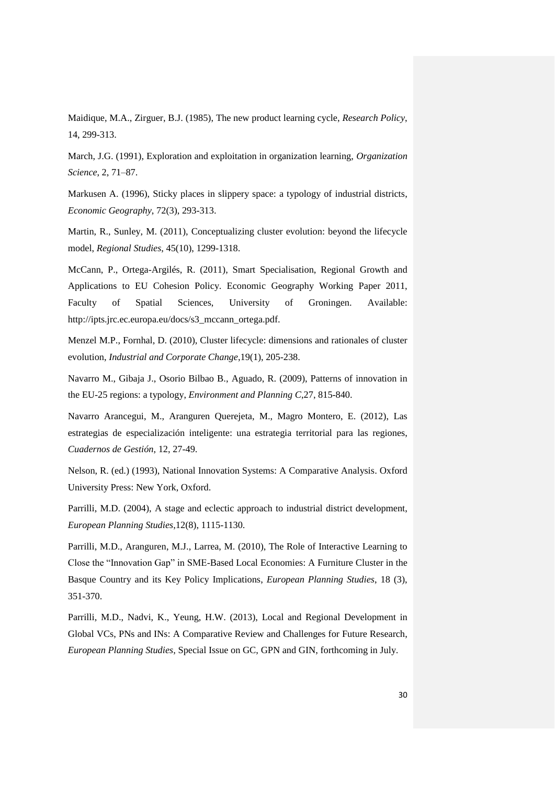Maidique, M.A., Zirguer, B.J. (1985), The new product learning cycle, *Research Policy*, 14, 299-313.

March, J.G. (1991), Exploration and exploitation in organization learning, *Organization Science*, 2, 71–87.

Markusen A. (1996), Sticky places in slippery space: a typology of industrial districts, *Economic Geography*, 72(3), 293-313.

Martin, R., Sunley, M. (2011), Conceptualizing cluster evolution: beyond the lifecycle model, *Regional Studies*, 45(10), 1299-1318.

McCann, P., Ortega-Argilés, R. (2011), Smart Specialisation, Regional Growth and Applications to EU Cohesion Policy. Economic Geography Working Paper 2011, Faculty of Spatial Sciences, University of Groningen. Available: [http://ipts.jrc.ec.europa.eu/docs/s3\\_mccann\\_ortega.pdf.](http://ipts.jrc.ec.europa.eu/docs/s3_mccann_ortega.pdf)

Menzel M.P., Fornhal, D. (2010), Cluster lifecycle: dimensions and rationales of cluster evolution, *Industrial and Corporate Change*,19(1), 205-238.

Navarro M., Gibaja J., Osorio Bilbao B., Aguado, R. (2009), Patterns of innovation in the EU-25 regions: a typology, *Environment and Planning C*,27, 815-840.

Navarro Arancegui, M., Aranguren Querejeta, M., Magro Montero, E. (2012), Las estrategias de especialización inteligente: una estrategia territorial para las regiones, *Cuadernos de Gestión*, 12, 27-49.

Nelson, R. (ed.) (1993), National Innovation Systems: A Comparative Analysis. Oxford University Press: New York, Oxford.

Parrilli, M.D. (2004), A stage and eclectic approach to industrial district development, *European Planning Studies*,12(8), 1115-1130.

Parrilli, M.D., Aranguren, M.J., Larrea, M. (2010), The Role of Interactive Learning to Close the "Innovation Gap" in SME-Based Local Economies: A Furniture Cluster in the Basque Country and its Key Policy Implications, *European Planning Studies*, 18 (3), 351-370.

Parrilli, M.D., Nadvi, K., Yeung, H.W. (2013), Local and Regional Development in Global VCs, PNs and INs: A Comparative Review and Challenges for Future Research, *European Planning Studies*, Special Issue on GC, GPN and GIN, forthcoming in July.